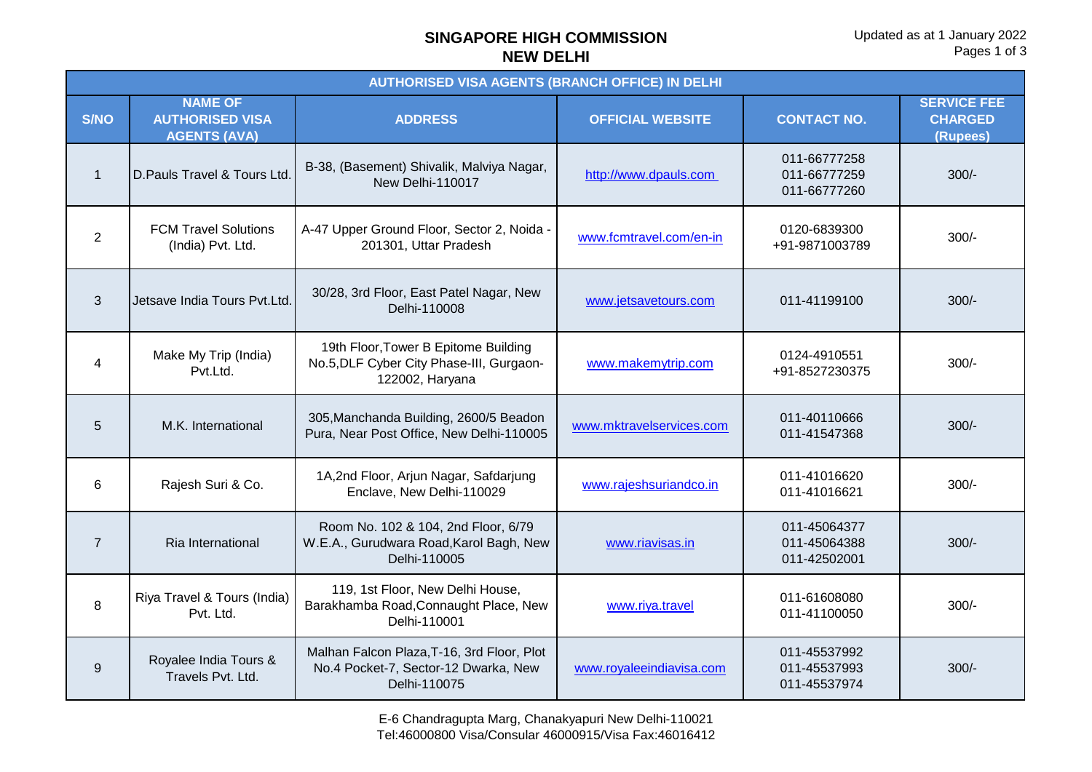## **SINGAPORE HIGH COMMISSION NEW DELHI**

| <b>AUTHORISED VISA AGENTS (BRANCH OFFICE) IN DELHI</b> |                                                                 |                                                                                                     |                          |                                              |                                                  |  |
|--------------------------------------------------------|-----------------------------------------------------------------|-----------------------------------------------------------------------------------------------------|--------------------------|----------------------------------------------|--------------------------------------------------|--|
| <b>S/NO</b>                                            | <b>NAME OF</b><br><b>AUTHORISED VISA</b><br><b>AGENTS (AVA)</b> | <b>ADDRESS</b>                                                                                      | <b>OFFICIAL WEBSITE</b>  | <b>CONTACT NO.</b>                           | <b>SERVICE FEE</b><br><b>CHARGED</b><br>(Rupees) |  |
| $\mathbf{1}$                                           | D. Pauls Travel & Tours Ltd.                                    | B-38, (Basement) Shivalik, Malviya Nagar,<br>New Delhi-110017                                       | http://www.dpauls.com    | 011-66777258<br>011-66777259<br>011-66777260 | $300/-$                                          |  |
| $\overline{2}$                                         | <b>FCM Travel Solutions</b><br>(India) Pvt. Ltd.                | A-47 Upper Ground Floor, Sector 2, Noida -<br>201301, Uttar Pradesh                                 | www.fcmtravel.com/en-in  | 0120-6839300<br>+91-9871003789               | $300/-$                                          |  |
| 3                                                      | Jetsave India Tours Pvt.Ltd.                                    | 30/28, 3rd Floor, East Patel Nagar, New<br>Delhi-110008                                             | www.jetsavetours.com     | 011-41199100                                 | $300/-$                                          |  |
| $\overline{\mathbf{4}}$                                | Make My Trip (India)<br>Pvt.Ltd.                                | 19th Floor, Tower B Epitome Building<br>No.5, DLF Cyber City Phase-III, Gurgaon-<br>122002, Haryana | www.makemytrip.com       | 0124-4910551<br>+91-8527230375               | $300/-$                                          |  |
| 5                                                      | M.K. International                                              | 305, Manchanda Building, 2600/5 Beadon<br>Pura, Near Post Office, New Delhi-110005                  | www.mktravelservices.com | 011-40110666<br>011-41547368                 | $300/-$                                          |  |
| 6                                                      | Rajesh Suri & Co.                                               | 1A,2nd Floor, Arjun Nagar, Safdarjung<br>Enclave, New Delhi-110029                                  | www.rajeshsuriandco.in   | 011-41016620<br>011-41016621                 | $300/-$                                          |  |
| $\overline{7}$                                         | Ria International                                               | Room No. 102 & 104, 2nd Floor, 6/79<br>W.E.A., Gurudwara Road, Karol Bagh, New<br>Delhi-110005      | www.riavisas.in          | 011-45064377<br>011-45064388<br>011-42502001 | $300/-$                                          |  |
| 8                                                      | Riya Travel & Tours (India)<br>Pvt. Ltd.                        | 119, 1st Floor, New Delhi House,<br>Barakhamba Road, Connaught Place, New<br>Delhi-110001           | www.riya.travel          | 011-61608080<br>011-41100050                 | $300/-$                                          |  |
| 9                                                      | Royalee India Tours &<br>Travels Pvt. Ltd.                      | Malhan Falcon Plaza, T-16, 3rd Floor, Plot<br>No.4 Pocket-7, Sector-12 Dwarka, New<br>Delhi-110075  | www.royaleeindiavisa.com | 011-45537992<br>011-45537993<br>011-45537974 | $300/-$                                          |  |

E-6 Chandragupta Marg, Chanakyapuri New Delhi-110021 Tel:46000800 Visa/Consular 46000915/Visa Fax:46016412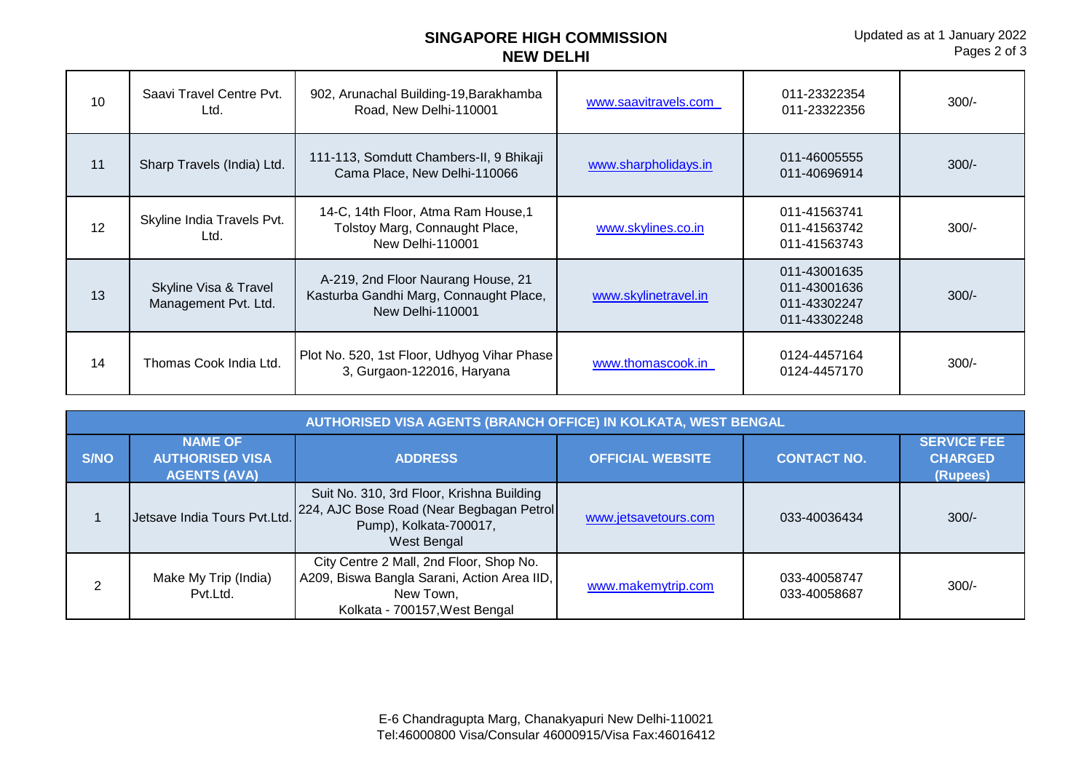## **SINGAPORE HIGH COMMISSION NEW DELHI**

| 10 | Saavi Travel Centre Pvt.<br>Ltd.              | 902, Arunachal Building-19, Barakhamba<br>Road, New Delhi-110001                                        | www.saavitravels.com | 011-23322354<br>011-23322356                                 | $300/-$ |
|----|-----------------------------------------------|---------------------------------------------------------------------------------------------------------|----------------------|--------------------------------------------------------------|---------|
| 11 | Sharp Travels (India) Ltd.                    | 111-113, Somdutt Chambers-II, 9 Bhikaji<br>Cama Place, New Delhi-110066                                 | www.sharpholidays.in | 011-46005555<br>011-40696914                                 | $300/-$ |
| 12 | Skyline India Travels Pvt.<br>Ltd.            | 14-C, 14th Floor, Atma Ram House, 1<br>Tolstoy Marg, Connaught Place,<br><b>New Delhi-110001</b>        | www.skylines.co.in   | 011-41563741<br>011-41563742<br>011-41563743                 | $300/-$ |
| 13 | Skyline Visa & Travel<br>Management Pvt. Ltd. | A-219, 2nd Floor Naurang House, 21<br>Kasturba Gandhi Marg, Connaught Place,<br><b>New Delhi-110001</b> | www.skylinetravel.in | 011-43001635<br>011-43001636<br>011-43302247<br>011-43302248 | $300/-$ |
| 14 | Thomas Cook India Ltd.                        | Plot No. 520, 1st Floor, Udhyog Vihar Phase<br>3, Gurgaon-122016, Haryana                               | www.thomascook.in    | 0124-4457164<br>0124-4457170                                 | $300/-$ |

| AUTHORISED VISA AGENTS (BRANCH OFFICE) IN KOLKATA, WEST BENGAL |                                                                 |                                                                                                                                      |                         |                              |                                                  |  |
|----------------------------------------------------------------|-----------------------------------------------------------------|--------------------------------------------------------------------------------------------------------------------------------------|-------------------------|------------------------------|--------------------------------------------------|--|
| <b>S/NO</b>                                                    | <b>NAME OF</b><br><b>AUTHORISED VISA</b><br><b>AGENTS (AVA)</b> | <b>ADDRESS</b>                                                                                                                       | <b>OFFICIAL WEBSITE</b> | <b>CONTACT NO.</b>           | <b>SERVICE FEE</b><br><b>CHARGED</b><br>(Rupees) |  |
|                                                                | Jetsave India Tours Pvt.Ltd.                                    | Suit No. 310, 3rd Floor, Krishna Building<br>224, AJC Bose Road (Near Begbagan Petrol<br>Pump), Kolkata-700017,<br>West Bengal       | www.jetsavetours.com    | 033-40036434                 | $300/-$                                          |  |
| 2                                                              | Make My Trip (India)<br>Pvt.Ltd.                                | City Centre 2 Mall, 2nd Floor, Shop No.<br>A209, Biswa Bangla Sarani, Action Area IID,<br>New Town,<br>Kolkata - 700157, West Bengal | www.makemytrip.com      | 033-40058747<br>033-40058687 | $300/-$                                          |  |